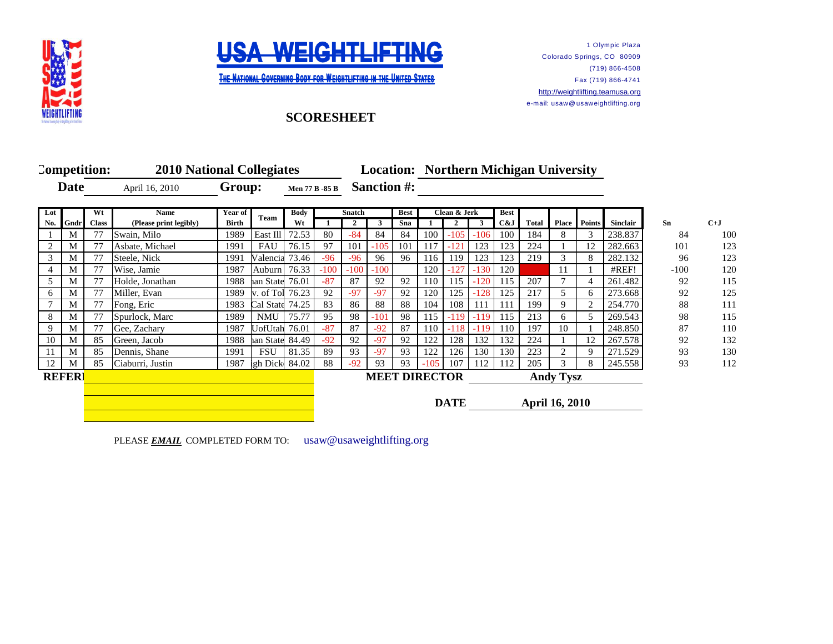



**THE NATIONAL GOVERNING BODY FOR WEIGHTLIFTING IN THE UNITED STATES** 

1 Olympic Plaza Colorado Springs, CO 80909 (719) 866-4508 Fax (719) 866-4741 [http://](http://weightlifting.teamusa.org/)weightlifting.teamusa.org e-mail: usaw@ usaweightlifting.org

## **SCORESHEET**

|                |              | Competition: | <b>2010 National Collegiates</b> |                        |                 |             |                       |              |                    |     |              | <b>Location: Northern Michigan University</b> |        |                  |                       |              |               |          |        |       |
|----------------|--------------|--------------|----------------------------------|------------------------|-----------------|-------------|-----------------------|--------------|--------------------|-----|--------------|-----------------------------------------------|--------|------------------|-----------------------|--------------|---------------|----------|--------|-------|
| <b>Date</b>    |              |              | April 16, 2010                   |                        | Group:          |             | <b>Men 77 B -85 B</b> |              | <b>Sanction #:</b> |     |              |                                               |        |                  |                       |              |               |          |        |       |
| Wt<br>Lot      |              |              | <b>Name</b>                      | Year of<br><b>Team</b> |                 | <b>Body</b> |                       |              | Snatch<br>Best     |     | Clean & Jerk |                                               |        | <b>Best</b>      |                       |              |               |          |        |       |
| No.            | Gndr         | <b>Class</b> | (Please print legibly)           | <b>Birth</b>           |                 | Wt          |                       | $\mathbf{2}$ | 3                  | Sna |              |                                               | 3      | C&J              | <b>Total</b>          | <b>Place</b> | <b>Points</b> | Sinclair | Sn     | $C+J$ |
|                | M            | 77           | Swain, Milo                      | 1989                   | East Ill        | 72.53       | 80                    | $-84$        | 84                 | 84  | 100          | $-105$                                        | $-106$ | 100              | 184                   | 8            | 3             | 238.837  | 84     | 100   |
| 2              | М            | 77           | Asbate, Michael                  | 1991                   | FAU             | 76.15       | 97                    | 101          | $-105$             | 101 | 117          | $-121$                                        | 123    | 123              | 224                   |              | 12            | 282.663  | 101    | 123   |
| 3              | М            | 77           | Steele, Nick                     | 1991                   | Valencia 73.46  |             | $-96$                 | $-96$        | 96                 | 96  | 116          | 119                                           | 123    | 123              | 219                   | 3            | 8             | 282.132  | 96     | 123   |
| $\overline{4}$ | М            | 77           | Wise, Jamie                      | 1987                   | Auburn 76.33    |             | $-100$                | $-100$       | $-100$             |     | 120          | $-127$                                        | $-130$ | 120              |                       | 11           |               | #REF!    | $-100$ | 120   |
| 5              | М            | 77           | Holde, Jonathan                  | 1988                   | an State 76.01  |             | $-87$                 | 87           | 92                 | 92  | 110          | 115                                           | $-120$ | 115              | 207                   | 7            |               | 261.482  | 92     | 115   |
| 6              | M            | 77           | Miller, Evan                     | 1989                   | v. of Tol 76.23 |             | 92                    | $-97$        | $-97$              | 92  | 120          | 125                                           | $-128$ | 125              | 217                   | 5            | 6             | 273.668  | 92     | 125   |
|                | М            | 77           | Fong, Eric                       | 1983                   | Cal State 74.25 |             | 83                    | 86           | 88                 | 88  | 104          | 108                                           | 111    | 111              | 199                   | 9            |               | 254.770  | 88     | 111   |
| 8              | М            | 77           | Spurlock, Marc                   | 1989                   | NMU             | 75.77       | 95                    | 98           | $-101$             | 98  | 115          | $-119$                                        | $-119$ | 115              | 213                   | 6            | 5.            | 269.543  | 98     | 115   |
| 9              | М            | 77           | Gee, Zachary                     | 1987                   | UofUtah 76.01   |             | $-87$                 | 87           | $-92$              | 87  | 110          | $-118$                                        | $-119$ | 110              | 197                   | 10           |               | 248.850  | 87     | 110   |
| 10             | M            | 85           | Green, Jacob                     | 1988                   | an State 84.49  |             | $-92$                 | 92           | $-97$              | 92  | 122          | 128                                           | 132    | 132              | 224                   |              | 12            | 267.578  | 92     | 132   |
| 11             | M            | 85           | Dennis, Shane                    | 1991                   | <b>FSU</b>      | 81.35       | 89                    | 93           | $-97$              | 93  | 122          | 126                                           | 130    | 130              | 223                   | 2            |               | 271.529  | 93     | 130   |
| 12             | M            | 85           | Ciaburri, Justin                 | 1987                   | gh Dick 84.02   |             | 88                    | $-92$        | 93                 | 93  | $-105$       | 107                                           | 112    | 112              | 205                   | 3            |               | 245.558  | 93     | 112   |
|                | <b>REFER</b> |              |                                  |                        |                 |             |                       |              |                    |     |              | <b>MEET DIRECTOR</b>                          |        | <b>Andy Tysz</b> |                       |              |               |          |        |       |
|                |              |              |                                  |                        |                 |             |                       |              |                    |     |              | <b>DATE</b>                                   |        |                  | <b>April 16, 2010</b> |              |               |          |        |       |

PLEASE **EMAIL** COMPLETED FORM TO: usaw@usaweightlifting.org